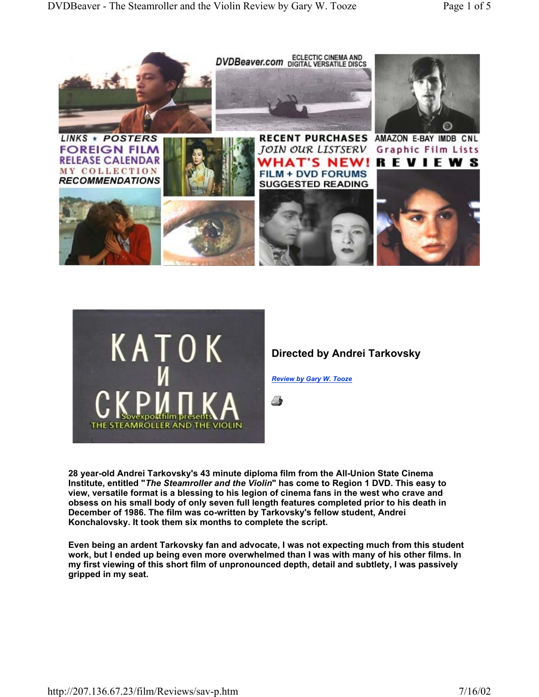



**Directed by Andrei Tarkovsky**

*Review by Gary W. Tooze*

4

**28 year-old Andrei Tarkovsky's 43 minute diploma film from the All-Union State Cinema Institute, entitled "***The Steamroller and the Violin***" has come to Region 1 DVD. This easy to view, versatile format is a blessing to his legion of cinema fans in the west who crave and obsess on his small body of only seven full length features completed prior to his death in December of 1986. The film was co-written by Tarkovsky's fellow student, Andrei Konchalovsky. It took them six months to complete the script.**

**Even being an ardent Tarkovsky fan and advocate, I was not expecting much from this student work, but I ended up being even more overwhelmed than I was with many of his other films. In my first viewing of this short film of unpronounced depth, detail and subtlety, I was passively gripped in my seat.**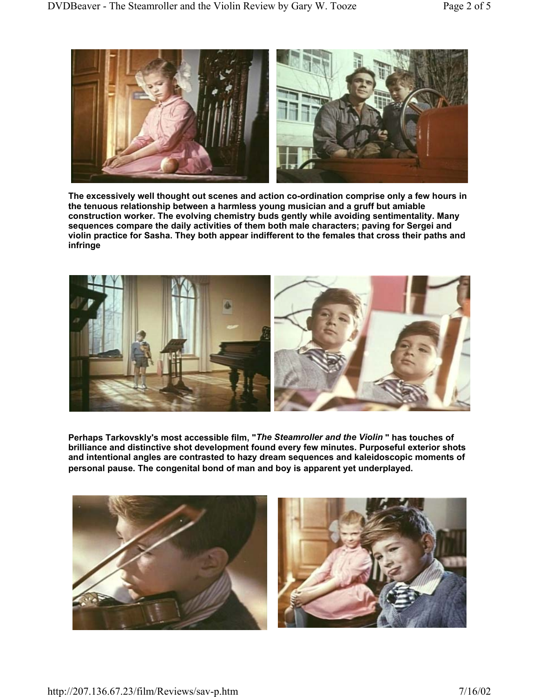

**The excessively well thought out scenes and action co-ordination comprise only a few hours in the tenuous relationship between a harmless young musician and a gruff but amiable construction worker. The evolving chemistry buds gently while avoiding sentimentality. Many sequences compare the daily activities of them both male characters; paving for Sergei and violin practice for Sasha. They both appear indifferent to the females that cross their paths and infringe**



**Perhaps Tarkovskly's most accessible film, "***The Steamroller and the Violin* **" has touches of brilliance and distinctive shot development found every few minutes. Purposeful exterior shots and intentional angles are contrasted to hazy dream sequences and kaleidoscopic moments of personal pause. The congenital bond of man and boy is apparent yet underplayed.**

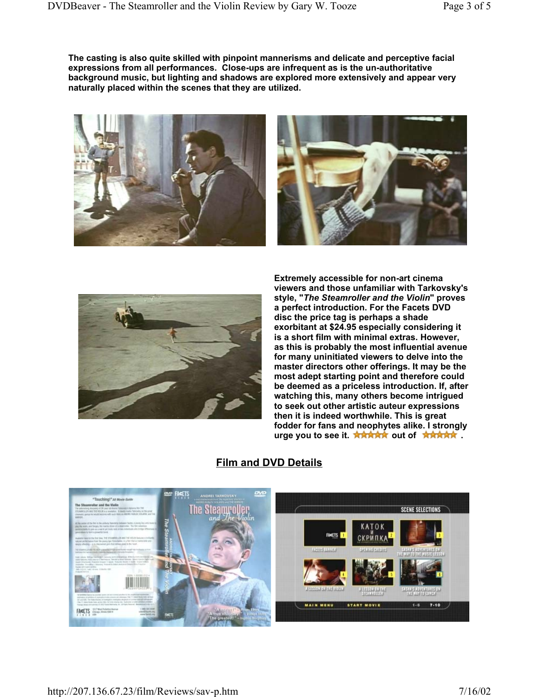**The casting is also quite skilled with pinpoint mannerisms and delicate and perceptive facial expressions from all performances. Close-ups are infrequent as is the un-authoritative background music, but lighting and shadows are explored more extensively and appear very naturally placed within the scenes that they are utilized.**







**Extremely accessible for non-art cinema viewers and those unfamiliar with Tarkovsky's style, "***The Steamroller and the Violin***" proves a perfect introduction. For the Facets DVD disc the price tag is perhaps a shade exorbitant at \$24.95 especially considering it is a short film with minimal extras. However, as this is probably the most influential avenue for many uninitiated viewers to delve into the master directors other offerings. It may be the most adept starting point and therefore could be deemed as a priceless introduction. If, after watching this, many others become intrigued to seek out other artistic auteur expressions then it is indeed worthwhile. This is great fodder for fans and neophytes alike. I strongly**  urge you to see it. \*\*\*\*\*\* out of \*\*\*\*\*\*

# **Film and DVD Details**

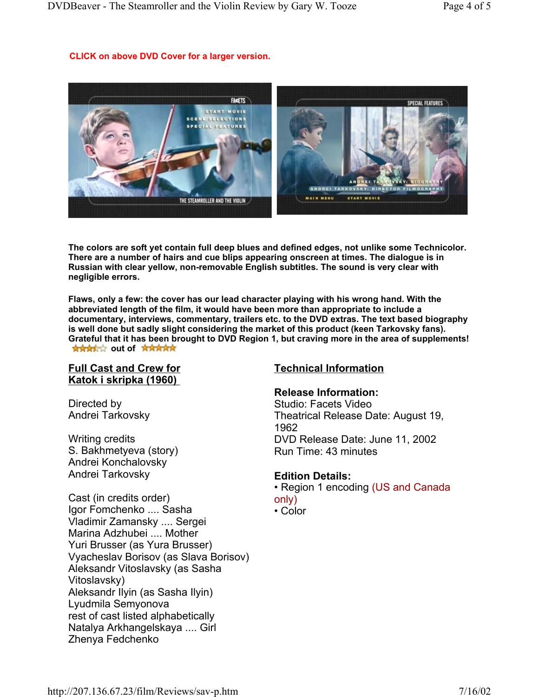#### **CLICK on above DVD Cover for a larger version.**



**The colors are soft yet contain full deep blues and defined edges, not unlike some Technicolor. There are a number of hairs and cue blips appearing onscreen at times. The dialogue is in Russian with clear yellow, non-removable English subtitles. The sound is very clear with negligible errors.**

**Flaws, only a few: the cover has our lead character playing with his wrong hand. With the abbreviated length of the film, it would have been more than appropriate to include a documentary, interviews, commentary, trailers etc. to the DVD extras. The text based biography is well done but sadly slight considering the market of this product (keen Tarkovsky fans). Grateful that it has been brought to DVD Region 1, but craving more in the area of supplements! NAMARY** out of **RANARY** 

### **Full Cast and Crew for Katok i skripka (1960)**

Directed by Andrei Tarkovsky

Writing credits S. Bakhmetyeva (story) Andrei Konchalovsky Andrei Tarkovsky

Cast (in credits order) Igor Fomchenko .... Sasha Vladimir Zamansky .... Sergei Marina Adzhubei .... Mother Yuri Brusser (as Yura Brusser) Vyacheslav Borisov (as Slava Borisov) Aleksandr Vitoslavsky (as Sasha Vitoslavsky) Aleksandr Ilyin (as Sasha Ilyin) Lyudmila Semyonova rest of cast listed alphabetically Natalya Arkhangelskaya .... Girl Zhenya Fedchenko

# **Technical Information**

### **Release Information:**

Studio: Facets Video Theatrical Release Date: August 19, 1962 DVD Release Date: June 11, 2002 Run Time: 43 minutes

#### **Edition Details:**

• Region 1 encoding (US and Canada only)

• Color